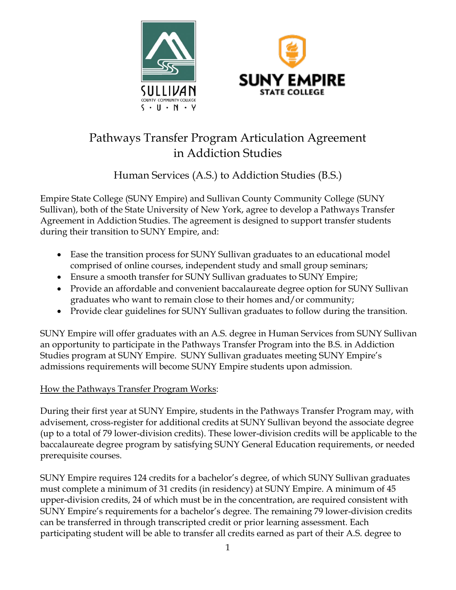



# Pathways Transfer Program Articulation Agreement in Addiction Studies

## Human Services (A.S.) to Addiction Studies (B.S.)

Empire State College (SUNY Empire) and Sullivan County Community College (SUNY Sullivan), both of the State University of New York, agree to develop a Pathways Transfer Agreement in Addiction Studies. The agreement is designed to support transfer students during their transition to SUNY Empire, and:

- Ease the transition process for SUNY Sullivan graduates to an educational model comprised of online courses, independent study and small group seminars;
- Ensure a smooth transfer for SUNY Sullivan graduates to SUNY Empire;
- Provide an affordable and convenient baccalaureate degree option for SUNY Sullivan graduates who want to remain close to their homes and/or community;
- Provide clear guidelines for SUNY Sullivan graduates to follow during the transition.

SUNY Empire will offer graduates with an A.S. degree in Human Services from SUNY Sullivan an opportunity to participate in the Pathways Transfer Program into the B.S. in Addiction Studies program at SUNY Empire. SUNY Sullivan graduates meeting SUNY Empire's admissions requirements will become SUNY Empire students upon admission.

## How the Pathways Transfer Program Works:

During their first year at SUNY Empire, students in the Pathways Transfer Program may, with advisement, cross-register for additional credits at SUNY Sullivan beyond the associate degree (up to a total of 79 lower-division credits). These lower-division credits will be applicable to the baccalaureate degree program by satisfying SUNY General Education requirements, or needed prerequisite courses.

SUNY Empire requires 124 credits for a bachelor's degree, of which SUNY Sullivan graduates must complete a minimum of 31 credits (in residency) at SUNY Empire. A minimum of 45 upper-division credits, 24 of which must be in the concentration, are required consistent with SUNY Empire's requirements for a bachelor's degree. The remaining 79 lower-division credits can be transferred in through transcripted credit or prior learning assessment. Each participating student will be able to transfer all credits earned as part of their A.S. degree to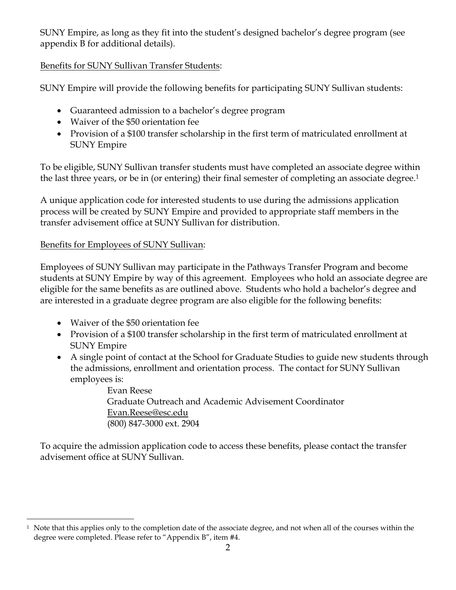SUNY Empire, as long as they fit into the student's designed bachelor's degree program (see appendix B for additional details).

## Benefits for SUNY Sullivan Transfer Students:

SUNY Empire will provide the following benefits for participating SUNY Sullivan students:

- Guaranteed admission to a bachelor's degree program
- Waiver of the \$50 orientation fee
- Provision of a \$100 transfer scholarship in the first term of matriculated enrollment at SUNY Empire

To be eligible, SUNY Sullivan transfer students must have completed an associate degree within the last three years, or be in (or entering) their final semester of completing an associate degree.<sup>1</sup>

A unique application code for interested students to use during the admissions application process will be created by SUNY Empire and provided to appropriate staff members in the transfer advisement office at SUNY Sullivan for distribution.

## Benefits for Employees of SUNY Sullivan:

Employees of SUNY Sullivan may participate in the Pathways Transfer Program and become students at SUNY Empire by way of this agreement. Employees who hold an associate degree are eligible for the same benefits as are outlined above. Students who hold a bachelor's degree and are interested in a graduate degree program are also eligible for the following benefits:

- Waiver of the \$50 orientation fee
- Provision of a \$100 transfer scholarship in the first term of matriculated enrollment at SUNY Empire
- A single point of contact at the School for Graduate Studies to guide new students through the admissions, enrollment and orientation process. The contact for SUNY Sullivan employees is:

Evan Reese Graduate Outreach and Academic Advisement Coordinator Evan.Reese@esc.edu (800) 847-3000 ext. 2904

To acquire the admission application code to access these benefits, please contact the transfer advisement office at SUNY Sullivan.

<sup>&</sup>lt;sup>1</sup> Note that this applies only to the completion date of the associate degree, and not when all of the courses within the degree were completed. Please refer to "Appendix B", item #4.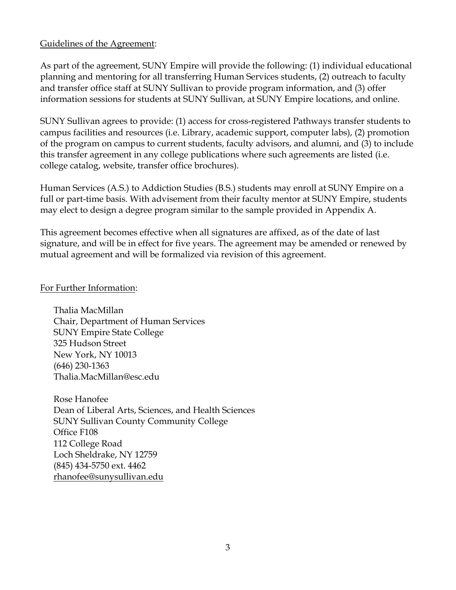#### Guidelines of the Agreement:

As part of the agreement, SUNY Empire will provide the following: (1) individual educational planning and mentoring for all transferring Human Services students, (2) outreach to faculty and transfer office staff at SUNY Sullivan to provide program information, and (3) offer information sessions for students at SUNY Sullivan, at SUNY Empire locations, and online.

SUNY Sullivan agrees to provide: (1) access for cross-registered Pathways transfer students to campus facilities and resources (i.e. Library, academic support, computer labs), (2) promotion of the program on campus to current students, faculty advisors, and alumni, and (3) to include this transfer agreement in any college publications where such agreements are listed (i.e. college catalog, website, transfer office brochures).

Human Services (A.S.) to Addiction Studies (B.S.) students may enroll at SUNY Empire on a full or part-time basis. With advisement from their faculty mentor at SUNY Empire, students may elect to design a degree program similar to the sample provided in Appendix A.

This agreement becomes effective when all signatures are affixed, as of the date of last signature, and will be in effect for five years. The agreement may be amended or renewed by mutual agreement and will be formalized via revision of this agreement.

#### For Further Information:

Thalia MacMillan Chair, Department of Human Services SUNY Empire State College 325 Hudson Street New York, NY 10013 (646) 230-1363 Thalia.MacMillan@esc.edu

Rose Hanofee Dean of Liberal Arts, Sciences, and Health Sciences SUNY Sullivan County Community College Office F108 112 College Road Loch Sheldrake, NY 12759 (845) 434-5750 ext. 4462 [rhanofee@sunysullivan.edu](mailto:rhanofee@sunysullivan.edu)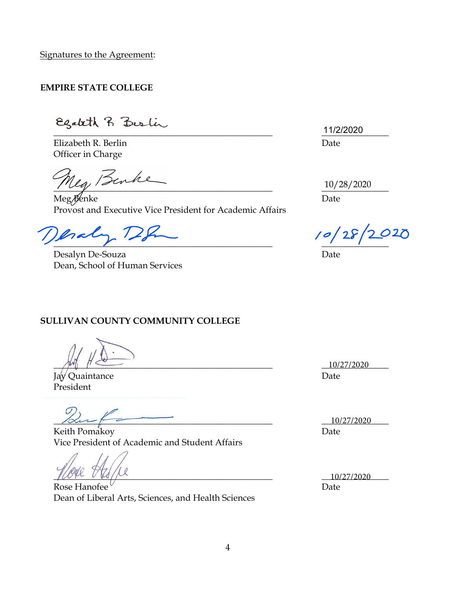Signatures to the Agreement:

#### **EMPIRE STATE COLLEGE**

Egateth R Bestin

Elizabeth R. Berlin Date Officer in Charge

 $u_a$ , Benke

Meg Benke Date Provost and Executive Vice President for Academic Affairs

 $.72$ Isal  $\overline{\phantom{a}}$ 

Desalyn De-Souza Date Dean, School of Human Services

 $\frac{11}{20}$ 11/2/2020

10/28/2020

12020

#### **SULLIVAN COUNTY COMMUNITY COLLEGE**

 $\frac{10}{27/2020}$ 

Jay Quaintance Date President

 $\frac{10}{27/2020}$ 

Keith Pomakoy Date **Date** Vice President of Academic and Student Affairs

 $10/27/2020$ 

Rose Hanofee Date Dean of Liberal Arts, Sciences, and Health Sciences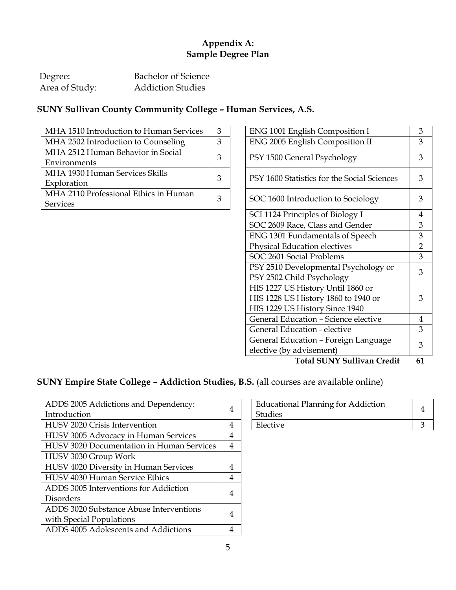## **Appendix A: Sample Degree Plan**

| Degree:        | Bachelor of Science      |
|----------------|--------------------------|
| Area of Study: | <b>Addiction Studies</b> |

## **SUNY Sullivan County Community College – Human Services, A.S.**

| MHA 1510 Introduction to Human Services | 3 | ENG 1001 English Composition I              | 3 |
|-----------------------------------------|---|---------------------------------------------|---|
| MHA 2502 Introduction to Counseling     |   | <b>ENG 2005 English Composition II</b>      | 3 |
| MHA 2512 Human Behavior in Social       | 3 |                                             | 3 |
| Environments                            |   | PSY 1500 General Psychology                 |   |
| MHA 1930 Human Services Skills          | 3 | PSY 1600 Statistics for the Social Sciences | 3 |
| Exploration                             |   |                                             |   |
| MHA 2110 Professional Ethics in Human   | 3 |                                             | 3 |
| <b>Services</b>                         |   | SOC 1600 Introduction to Sociology          |   |

| ENG 1001 English Composition I                                    | 3              |
|-------------------------------------------------------------------|----------------|
| ENG 2005 English Composition II                                   |                |
| PSY 1500 General Psychology                                       | 3              |
| PSY 1600 Statistics for the Social Sciences                       | 3              |
| SOC 1600 Introduction to Sociology                                | 3              |
| SCI 1124 Principles of Biology I                                  | 4              |
| SOC 2609 Race, Class and Gender                                   | 3              |
| ENG 1301 Fundamentals of Speech                                   | 3              |
| <b>Physical Education electives</b>                               | $\overline{2}$ |
| SOC 2601 Social Problems                                          | 3              |
| PSY 2510 Developmental Psychology or<br>PSY 2502 Child Psychology | 3              |
| HIS 1227 US History Until 1860 or                                 |                |
| HIS 1228 US History 1860 to 1940 or                               | 3              |
| HIS 1229 US History Since 1940                                    |                |
| General Education - Science elective                              | 4              |
| General Education - elective                                      | 3              |
| General Education - Foreign Language                              | 3              |
| elective (by advisement)                                          |                |
| <b>Total SUNY Sullivan Credit</b>                                 | 61             |

**SUNY Empire State College – Addiction Studies, B.S.** (all courses are available online)

| ADDS 2005 Addictions and Dependency:      | 4 | <b>Educational Planning for Addiction</b> | $\overline{4}$ |
|-------------------------------------------|---|-------------------------------------------|----------------|
| Introduction                              |   | <b>Studies</b>                            |                |
| HUSV 2020 Crisis Intervention             | 4 | Elective                                  | 3              |
| HUSV 3005 Advocacy in Human Services      | 4 |                                           |                |
| HUSV 3020 Documentation in Human Services | 4 |                                           |                |
| HUSV 3030 Group Work                      |   |                                           |                |
| HUSV 4020 Diversity in Human Services     | 4 |                                           |                |
| HUSV 4030 Human Service Ethics            | 4 |                                           |                |
| ADDS 3005 Interventions for Addiction     |   |                                           |                |
| Disorders                                 | 4 |                                           |                |
| ADDS 3020 Substance Abuse Interventions   |   |                                           |                |
| with Special Populations                  | 4 |                                           |                |
| ADDS 4005 Adolescents and Addictions      | 4 |                                           |                |

| <b>Educational Planning for Addiction</b><br>Studies |  |
|------------------------------------------------------|--|
| Elective                                             |  |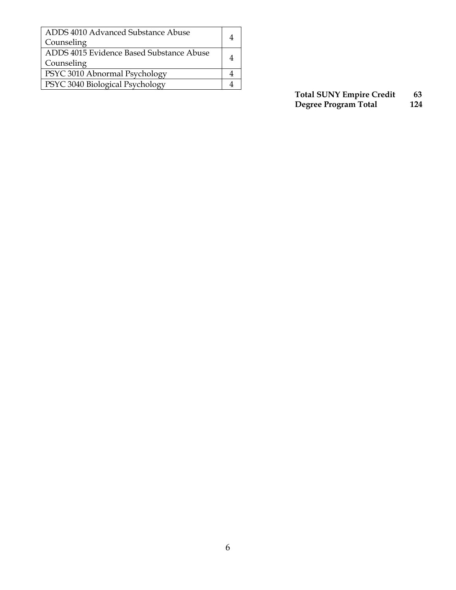| ADDS 4010 Advanced Substance Abuse<br>Counseling |  |
|--------------------------------------------------|--|
| ADDS 4015 Evidence Based Substance Abuse         |  |
| Counseling                                       |  |
| PSYC 3010 Abnormal Psychology                    |  |
| PSYC 3040 Biological Psychology                  |  |

**Total SUNY Empire Credit 63 Degree Program Total 124**